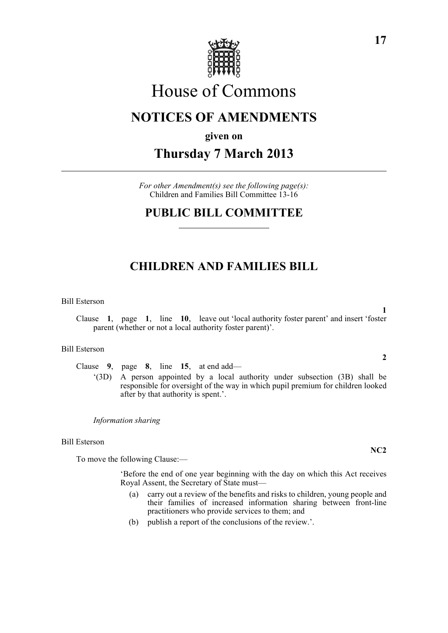

# House of Commons

## **NOTICES OF AMENDMENTS**

**given on**

## **Thursday 7 March 2013**

*For other Amendment(s) see the following page(s):* Children and Families Bill Committee 13-16

### **PUBLIC BILL COMMITTEE**

### **CHILDREN AND FAMILIES BILL**

Bill Esterson

**1** Clause **1**, page **1**, line **10**, leave out 'local authority foster parent' and insert 'foster parent (whether or not a local authority foster parent)'.

### Bill Esterson

Clause **9**, page **8**, line **15**, at end add—

'(3D) A person appointed by a local authority under subsection (3B) shall be responsible for oversight of the way in which pupil premium for children looked after by that authority is spent.'.

*Information sharing*

Bill Esterson

To move the following Clause:—

'Before the end of one year beginning with the day on which this Act receives Royal Assent, the Secretary of State must—

- (a) carry out a review of the benefits and risks to children, young people and their families of increased information sharing between front-line practitioners who provide services to them; and
- (b) publish a report of the conclusions of the review.'.

**NC2**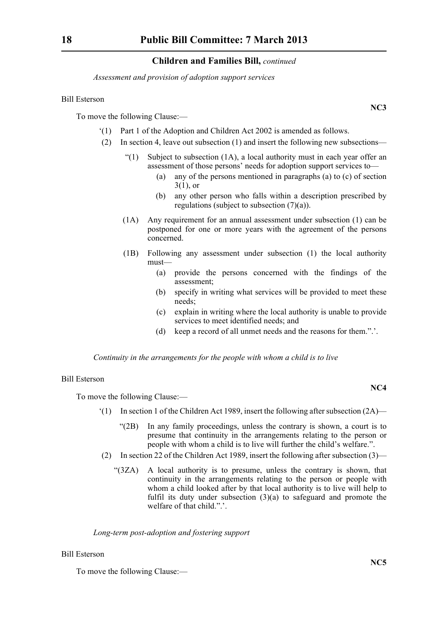*Assessment and provision of adoption support services*

### Bill Esterson

To move the following Clause:—

- '(1) Part 1 of the Adoption and Children Act 2002 is amended as follows.
- (2) In section 4, leave out subsection (1) and insert the following new subsections—
	- "(1) Subject to subsection  $(1A)$ , a local authority must in each year offer an assessment of those persons' needs for adoption support services to—
		- (a) any of the persons mentioned in paragraphs (a) to (c) of section  $3(1)$ , or
		- (b) any other person who falls within a description prescribed by regulations (subject to subsection (7)(a)).
	- (1A) Any requirement for an annual assessment under subsection (1) can be postponed for one or more years with the agreement of the persons concerned.
	- (1B) Following any assessment under subsection (1) the local authority must—
		- (a) provide the persons concerned with the findings of the assessment;
		- (b) specify in writing what services will be provided to meet these needs;
		- (c) explain in writing where the local authority is unable to provide services to meet identified needs; and
		- (d) keep a record of all unmet needs and the reasons for them.".'.

*Continuity in the arrangements for the people with whom a child is to live*

#### Bill Esterson

To move the following Clause:—

- $'(1)$  In section 1 of the Children Act 1989, insert the following after subsection  $(2A)$ 
	- "(2B) In any family proceedings, unless the contrary is shown, a court is to presume that continuity in the arrangements relating to the person or people with whom a child is to live will further the child's welfare.".
- (2) In section 22 of the Children Act 1989, insert the following after subsection (3)—
	- "(3ZA) A local authority is to presume, unless the contrary is shown, that continuity in the arrangements relating to the person or people with whom a child looked after by that local authority is to live will help to fulfil its duty under subsection (3)(a) to safeguard and promote the welfare of that child.".'.

### *Long-term post-adoption and fostering support*

### Bill Esterson

To move the following Clause:—

**NC4**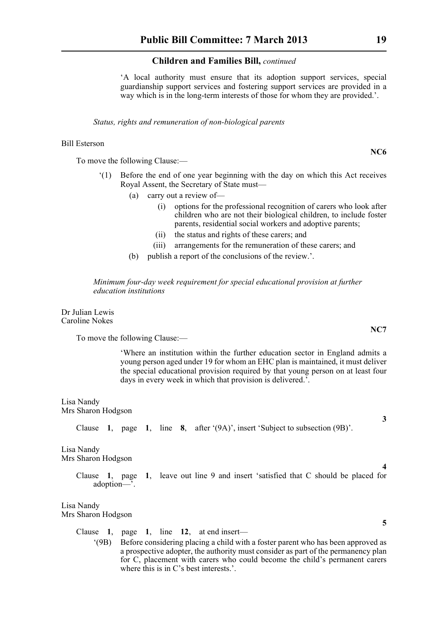'A local authority must ensure that its adoption support services, special guardianship support services and fostering support services are provided in a way which is in the long-term interests of those for whom they are provided.'.

*Status, rights and remuneration of non-biological parents*

#### Bill Esterson

To move the following Clause:—

- '(1) Before the end of one year beginning with the day on which this Act receives Royal Assent, the Secretary of State must—
	- (a) carry out a review of—
		- (i) options for the professional recognition of carers who look after children who are not their biological children, to include foster parents, residential social workers and adoptive parents;
		- (ii) the status and rights of these carers; and
		- (iii) arrangements for the remuneration of these carers; and
	- (b) publish a report of the conclusions of the review.'.

*Minimum four-day week requirement for special educational provision at further education institutions*

Dr Julian Lewis Caroline Nokes

To move the following Clause:—

'Where an institution within the further education sector in England admits a young person aged under 19 for whom an EHC plan is maintained, it must deliver the special educational provision required by that young person on at least four days in every week in which that provision is delivered.'.

#### Lisa Nandy Mrs Sharon Hodgson

Clause **1**, page **1**, line **8**, after '(9A)', insert 'Subject to subsection (9B)'.

Lisa Nandy

Mrs Sharon Hodgson

Clause **1**, page **1**, leave out line 9 and insert 'satisfied that C should be placed for adoption—'.

### Lisa Nandy

Mrs Sharon Hodgson

Clause **1**, page **1**, line **12**, at end insert—

'(9B) Before considering placing a child with a foster parent who has been approved as a prospective adopter, the authority must consider as part of the permanency plan for C, placement with carers who could become the child's permanent carers where this is in C's best interests.'.

**NC6**

**NC7**

**3**

**4**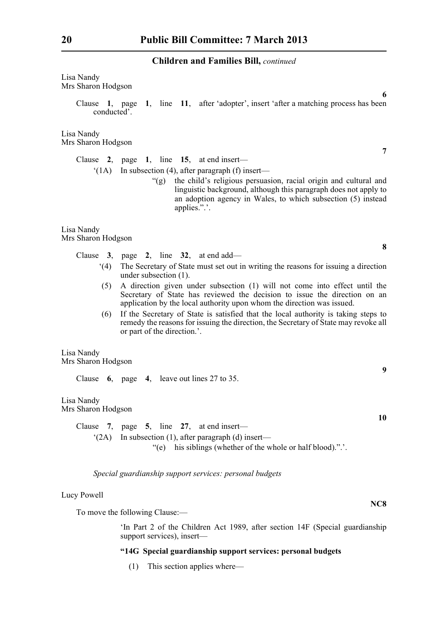Lisa Nandy Mrs Sharon Hodgson

> Clause **1**, page **1**, line **11**, after 'adopter', insert 'after a matching process has been conducted'.

Lisa Nandy Mrs Sharon Hodgson

> Clause **2**, page **1**, line **15**, at end insert—  $(1)$  In subsection (4), after paragraph (f) insert—

> > "(g) the child's religious persuasion, racial origin and cultural and linguistic background, although this paragraph does not apply to an adoption agency in Wales, to which subsection (5) instead applies.".'.

Lisa Nandy Mrs Sharon Hodgson

Clause **3**, page **2**, line **32**, at end add—

- '(4) The Secretary of State must set out in writing the reasons for issuing a direction under subsection (1).
- (5) A direction given under subsection (1) will not come into effect until the Secretary of State has reviewed the decision to issue the direction on an application by the local authority upon whom the direction was issued.
- (6) If the Secretary of State is satisfied that the local authority is taking steps to remedy the reasons for issuing the direction, the Secretary of State may revoke all or part of the direction.'.

Lisa Nandy Mrs Sharon Hodgson

Clause **6**, page **4**, leave out lines 27 to 35.

Lisa Nandy Mrs Sharon Hodgson

> Clause **7**, page **5**, line **27**, at end insert— '(2A) In subsection (1), after paragraph (d) insert— "(e) his siblings (whether of the whole or half blood).".'.

*Special guardianship support services: personal budgets*

### Lucy Powell

To move the following Clause:—

'In Part 2 of the Children Act 1989, after section 14F (Special guardianship support services), insert—

### **"14G Special guardianship support services: personal budgets**

(1) This section applies where—

**7**

**8**

**6**

**9**

**10**

**NC8**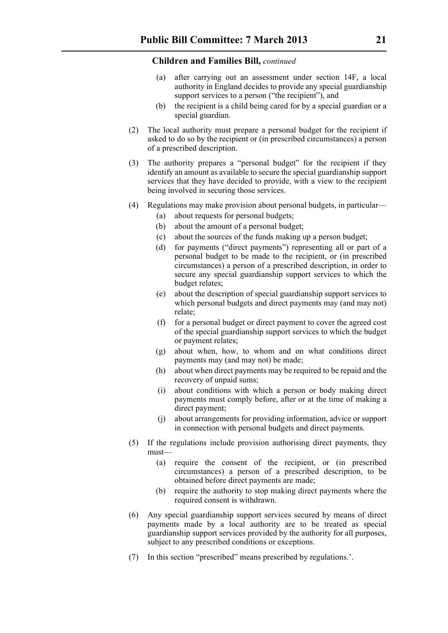- (a) after carrying out an assessment under section 14F, a local authority in England decides to provide any special guardianship support services to a person ("the recipient"), and
- (b) the recipient is a child being cared for by a special guardian or a special guardian.
- (2) The local authority must prepare a personal budget for the recipient if asked to do so by the recipient or (in prescribed circumstances) a person of a prescribed description.
- (3) The authority prepares a "personal budget" for the recipient if they identify an amount as available to secure the special guardianship support services that they have decided to provide, with a view to the recipient being involved in securing those services.
- (4) Regulations may make provision about personal budgets, in particular—
	- (a) about requests for personal budgets;
	- (b) about the amount of a personal budget;
	- (c) about the sources of the funds making up a person budget;
	- (d) for payments ("direct payments") representing all or part of a personal budget to be made to the recipient, or (in prescribed circumstances) a person of a prescribed description, in order to secure any special guardianship support services to which the budget relates;
	- (e) about the description of special guardianship support services to which personal budgets and direct payments may (and may not) relate;
	- (f) for a personal budget or direct payment to cover the agreed cost of the special guardianship support services to which the budget or payment relates;
	- (g) about when, how, to whom and on what conditions direct payments may (and may not) be made;
	- (h) about when direct payments may be required to be repaid and the recovery of unpaid sums;
	- (i) about conditions with which a person or body making direct payments must comply before, after or at the time of making a direct payment;
	- (j) about arrangements for providing information, advice or support in connection with personal budgets and direct payments.
- (5) If the regulations include provision authorising direct payments, they must—
	- (a) require the consent of the recipient, or (in prescribed circumstances) a person of a prescribed description, to be obtained before direct payments are made;
	- (b) require the authority to stop making direct payments where the required consent is withdrawn.
- (6) Any special guardianship support services secured by means of direct payments made by a local authority are to be treated as special guardianship support services provided by the authority for all purposes, subject to any prescribed conditions or exceptions.
- (7) In this section "prescribed" means prescribed by regulations.'.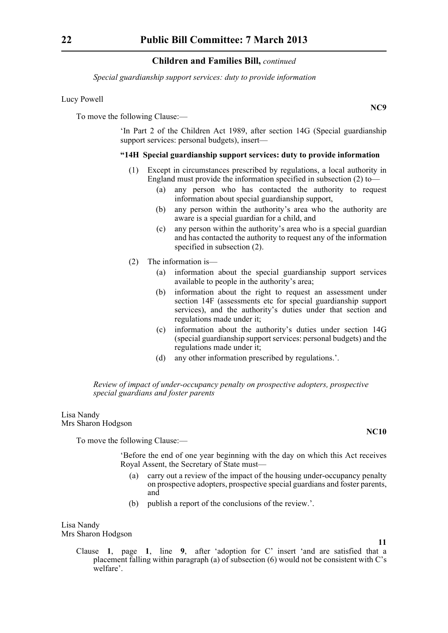*Special guardianship support services: duty to provide information*

### Lucy Powell

To move the following Clause:—

'In Part 2 of the Children Act 1989, after section 14G (Special guardianship support services: personal budgets), insert—

### **"14H Special guardianship support services: duty to provide information**

- (1) Except in circumstances prescribed by regulations, a local authority in England must provide the information specified in subsection (2) to—
	- (a) any person who has contacted the authority to request information about special guardianship support,
	- (b) any person within the authority's area who the authority are aware is a special guardian for a child, and
	- (c) any person within the authority's area who is a special guardian and has contacted the authority to request any of the information specified in subsection (2).
- (2) The information is—
	- (a) information about the special guardianship support services available to people in the authority's area;
	- (b) information about the right to request an assessment under section 14F (assessments etc for special guardianship support services), and the authority's duties under that section and regulations made under it;
	- (c) information about the authority's duties under section 14G (special guardianship support services: personal budgets) and the regulations made under it;
	- (d) any other information prescribed by regulations.'.

*Review of impact of under-occupancy penalty on prospective adopters, prospective special guardians and foster parents*

Lisa Nandy Mrs Sharon Hodgson

To move the following Clause:—

'Before the end of one year beginning with the day on which this Act receives Royal Assent, the Secretary of State must—

- (a) carry out a review of the impact of the housing under-occupancy penalty on prospective adopters, prospective special guardians and foster parents, and
- (b) publish a report of the conclusions of the review.'.

Lisa Nandy

Mrs Sharon Hodgson

**11**

**NC10**

Clause **1**, page **1**, line **9**, after 'adoption for C' insert 'and are satisfied that a placement falling within paragraph (a) of subsection (6) would not be consistent with C's welfare'.

**NC9**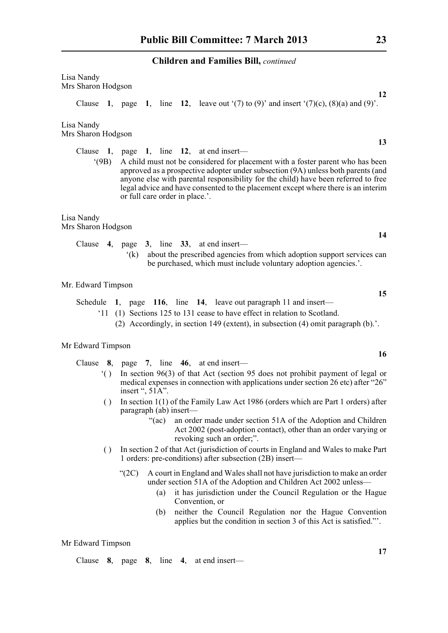Lisa Nandy Mrs Sharon Hodgson

Clause **1**, page **1**, line **12**, leave out  $(7)$  to  $(9)$  and insert  $(7)(c)$ ,  $(8)(a)$  and  $(9)$ .

Lisa Nandy Mrs Sharon Hodgson

Clause **1**, page **1**, line **12**, at end insert—

'(9B) A child must not be considered for placement with a foster parent who has been approved as a prospective adopter under subsection (9A) unless both parents (and anyone else with parental responsibility for the child) have been referred to free legal advice and have consented to the placement except where there is an interim or full care order in place.'.

Lisa Nandy Mrs Sharon Hodgson

|  |  |                                                                            |  |  | Clause 4, page 3, line 33, at end insert—                       |
|--|--|----------------------------------------------------------------------------|--|--|-----------------------------------------------------------------|
|  |  | (k) about the prescribed agencies from which adoption support services can |  |  |                                                                 |
|  |  |                                                                            |  |  | be purchased, which must include voluntary adoption agencies.'. |

Mr. Edward Timpson

- Schedule **1**, page **116**, line **14**, leave out paragraph 11 and insert—
	- '11 (1) Sections 125 to 131 cease to have effect in relation to Scotland.
		- (2) Accordingly, in section 149 (extent), in subsection (4) omit paragraph (b).'.

### Mr Edward Timpson

- Clause **8**, page **7**, line **46**, at end insert—
	- '( ) In section 96(3) of that Act (section 95 does not prohibit payment of legal or medical expenses in connection with applications under section 26 etc) after "26" insert ", 51A".
	- ( ) In section 1(1) of the Family Law Act 1986 (orders which are Part 1 orders) after paragraph (ab) insert—
		- "(ac) an order made under section 51A of the Adoption and Children Act 2002 (post-adoption contact), other than an order varying or revoking such an order;".
	- ( ) In section 2 of that Act (jurisdiction of courts in England and Wales to make Part 1 orders: pre-conditions) after subsection (2B) insert—
		- "(2C) A court in England and Wales shall not have jurisdiction to make an order under section 51A of the Adoption and Children Act 2002 unless—
			- (a) it has jurisdiction under the Council Regulation or the Hague Convention, or
			- (b) neither the Council Regulation nor the Hague Convention applies but the condition in section 3 of this Act is satisfied."'.

### Mr Edward Timpson

Clause **8**, page **8**, line **4**, at end insert—

**12**

**13**

**16**

**14**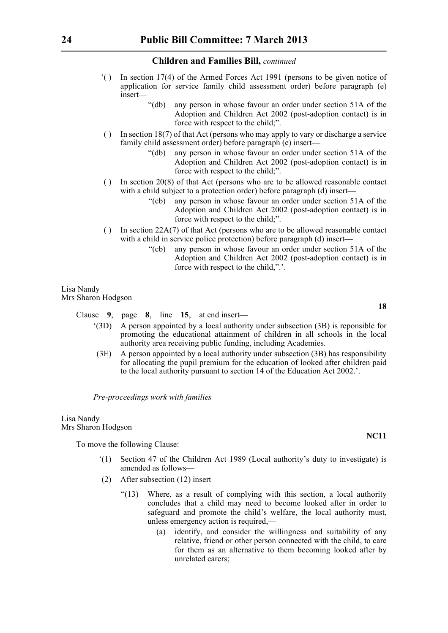- '( ) In section 17(4) of the Armed Forces Act 1991 (persons to be given notice of application for service family child assessment order) before paragraph (e) insert—
	- "(db) any person in whose favour an order under section 51A of the Adoption and Children Act 2002 (post-adoption contact) is in force with respect to the child;".
- ( ) In section 18(7) of that Act (persons who may apply to vary or discharge a service family child assessment order) before paragraph (e) insert—
	- "(db) any person in whose favour an order under section 51A of the Adoption and Children Act 2002 (post-adoption contact) is in force with respect to the child;".
- ( ) In section  $20(8)$  of that Act (persons who are to be allowed reasonable contact with a child subject to a protection order) before paragraph (d) insert—
	- "(cb) any person in whose favour an order under section 51A of the Adoption and Children Act 2002 (post-adoption contact) is in force with respect to the child;".
- ( ) In section 22A(7) of that Act (persons who are to be allowed reasonable contact with a child in service police protection) before paragraph (d) insert—
	- "(cb) any person in whose favour an order under section 51A of the Adoption and Children Act 2002 (post-adoption contact) is in force with respect to the child,".'.

Lisa Nandy Mrs Sharon Hodgson

Clause **9**, page **8**, line **15**, at end insert—

- '(3D) A person appointed by a local authority under subsection (3B) is reponsible for promoting the educational attainment of children in all schools in the local authority area receiving public funding, including Academies.
- (3E) A person appointed by a local authority under subsection (3B) has responsibility for allocating the pupil premium for the education of looked after children paid to the local authority pursuant to section 14 of the Education Act 2002.'.

*Pre-proceedings work with families*

Lisa Nandy Mrs Sharon Hodgson

To move the following Clause:—

- '(1) Section 47 of the Children Act 1989 (Local authority's duty to investigate) is amended as follows—
- (2) After subsection (12) insert—
	- "(13) Where, as a result of complying with this section, a local authority concludes that a child may need to become looked after in order to safeguard and promote the child's welfare, the local authority must, unless emergency action is required,—
		- (a) identify, and consider the willingness and suitability of any relative, friend or other person connected with the child, to care for them as an alternative to them becoming looked after by unrelated carers;